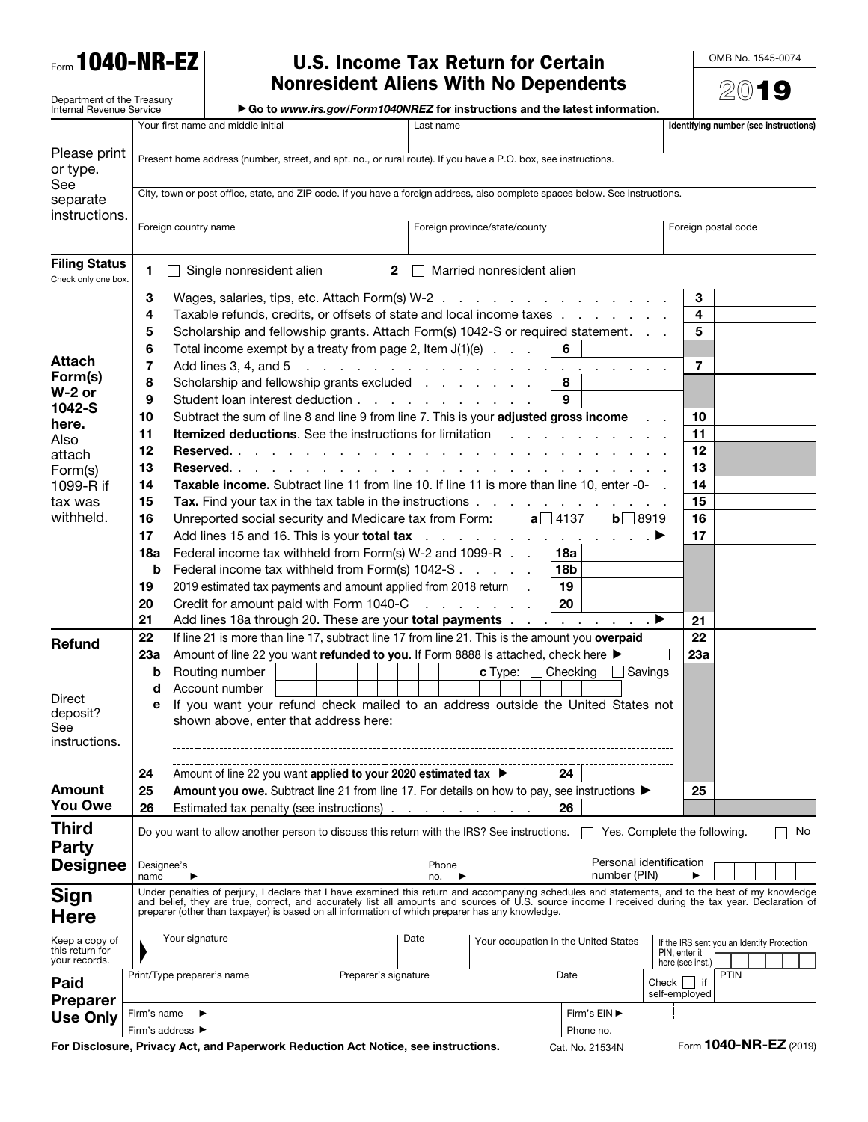Form 1040-NR-EZ

## U.S. Income Tax Return for Certain Nonresident Aliens With No Dependents

OMB No. 1545-0074

|                                                        |                                                                                                                                                                                                                                                                                                           |                                                                                                                |                                                                                                                              |                      |                                      | <b>Nonresident Aliens With No Dependents</b> |              |                              |                               | $20$ 19                                    |                                       |  |  |  |
|--------------------------------------------------------|-----------------------------------------------------------------------------------------------------------------------------------------------------------------------------------------------------------------------------------------------------------------------------------------------------------|----------------------------------------------------------------------------------------------------------------|------------------------------------------------------------------------------------------------------------------------------|----------------------|--------------------------------------|----------------------------------------------|--------------|------------------------------|-------------------------------|--------------------------------------------|---------------------------------------|--|--|--|
| Department of the Treasury<br>Internal Revenue Service |                                                                                                                                                                                                                                                                                                           |                                                                                                                | ► Go to www.irs.gov/Form1040NREZ for instructions and the latest information.                                                |                      |                                      |                                              |              |                              |                               |                                            |                                       |  |  |  |
|                                                        |                                                                                                                                                                                                                                                                                                           |                                                                                                                | Your first name and middle initial                                                                                           |                      | Last name                            |                                              |              |                              |                               |                                            | Identifying number (see instructions) |  |  |  |
|                                                        |                                                                                                                                                                                                                                                                                                           |                                                                                                                |                                                                                                                              |                      |                                      |                                              |              |                              |                               |                                            |                                       |  |  |  |
| Please print<br>or type.                               |                                                                                                                                                                                                                                                                                                           | Present home address (number, street, and apt. no., or rural route). If you have a P.O. box, see instructions. |                                                                                                                              |                      |                                      |                                              |              |                              |                               |                                            |                                       |  |  |  |
| See                                                    |                                                                                                                                                                                                                                                                                                           |                                                                                                                |                                                                                                                              |                      |                                      |                                              |              |                              |                               |                                            |                                       |  |  |  |
| separate                                               |                                                                                                                                                                                                                                                                                                           |                                                                                                                | City, town or post office, state, and ZIP code. If you have a foreign address, also complete spaces below. See instructions. |                      |                                      |                                              |              |                              |                               |                                            |                                       |  |  |  |
| instructions.                                          |                                                                                                                                                                                                                                                                                                           |                                                                                                                |                                                                                                                              |                      |                                      |                                              |              | Foreign postal code          |                               |                                            |                                       |  |  |  |
|                                                        |                                                                                                                                                                                                                                                                                                           | Foreign country name                                                                                           |                                                                                                                              |                      |                                      | Foreign province/state/county                |              |                              |                               |                                            |                                       |  |  |  |
| <b>Filing Status</b>                                   |                                                                                                                                                                                                                                                                                                           |                                                                                                                |                                                                                                                              |                      |                                      |                                              |              |                              |                               |                                            |                                       |  |  |  |
| Check only one box.                                    | 1                                                                                                                                                                                                                                                                                                         |                                                                                                                | Single nonresident alien                                                                                                     | $\mathbf{2}$         |                                      | Married nonresident alien                    |              |                              |                               |                                            |                                       |  |  |  |
|                                                        | Wages, salaries, tips, etc. Attach Form(s) W-2<br>3                                                                                                                                                                                                                                                       |                                                                                                                |                                                                                                                              |                      |                                      |                                              |              |                              | 3                             |                                            |                                       |  |  |  |
|                                                        | Taxable refunds, credits, or offsets of state and local income taxes<br>4                                                                                                                                                                                                                                 |                                                                                                                |                                                                                                                              |                      |                                      |                                              |              |                              | 4                             |                                            |                                       |  |  |  |
|                                                        | 5                                                                                                                                                                                                                                                                                                         | Scholarship and fellowship grants. Attach Form(s) 1042-S or required statement.                                |                                                                                                                              |                      |                                      |                                              |              |                              | 5                             |                                            |                                       |  |  |  |
|                                                        | 6                                                                                                                                                                                                                                                                                                         | 6<br>Total income exempt by a treaty from page 2, Item $J(1)(e)$                                               |                                                                                                                              |                      |                                      |                                              |              |                              |                               |                                            |                                       |  |  |  |
| <b>Attach</b>                                          | 7                                                                                                                                                                                                                                                                                                         |                                                                                                                | Add lines 3, 4, and $5 \ldots \ldots \ldots \ldots \ldots \ldots$                                                            |                      |                                      |                                              |              |                              | 7                             |                                            |                                       |  |  |  |
| Form(s)<br>$W-2$ or                                    | 8                                                                                                                                                                                                                                                                                                         |                                                                                                                | Scholarship and fellowship grants excluded                                                                                   |                      |                                      |                                              | 8            |                              |                               |                                            |                                       |  |  |  |
| 1042-S                                                 | 9                                                                                                                                                                                                                                                                                                         |                                                                                                                | Student loan interest deduction                                                                                              |                      |                                      |                                              | 9            |                              |                               |                                            |                                       |  |  |  |
| here.                                                  | 10                                                                                                                                                                                                                                                                                                        |                                                                                                                | Subtract the sum of line 8 and line 9 from line 7. This is your adjusted gross income                                        |                      |                                      |                                              |              |                              | 10                            |                                            |                                       |  |  |  |
| Also                                                   | 11                                                                                                                                                                                                                                                                                                        |                                                                                                                | Itemized deductions. See the instructions for limitation                                                                     |                      |                                      | and the control of the con-                  |              |                              | 11                            |                                            |                                       |  |  |  |
| attach                                                 | 12                                                                                                                                                                                                                                                                                                        |                                                                                                                | Reserved                                                                                                                     |                      |                                      |                                              |              |                              | 12                            |                                            |                                       |  |  |  |
| Form(s)<br>1099-R if                                   | 13<br>Taxable income. Subtract line 11 from line 10. If line 11 is more than line 10, enter -0-<br>14                                                                                                                                                                                                     |                                                                                                                |                                                                                                                              |                      |                                      |                                              |              |                              | 13<br>14                      |                                            |                                       |  |  |  |
| tax was                                                | 15                                                                                                                                                                                                                                                                                                        |                                                                                                                |                                                                                                                              |                      |                                      |                                              |              |                              | 15                            |                                            |                                       |  |  |  |
| withheld.                                              | Tax. Find your tax in the tax table in the instructions<br>$a \square 4137$<br>16<br>Unreported social security and Medicare tax from Form:<br>$b$ 8919                                                                                                                                                   |                                                                                                                |                                                                                                                              |                      |                                      |                                              |              | 16                           |                               |                                            |                                       |  |  |  |
|                                                        | 17                                                                                                                                                                                                                                                                                                        |                                                                                                                | Add lines 15 and 16. This is your total tax                                                                                  |                      |                                      |                                              |              |                              | 17                            |                                            |                                       |  |  |  |
|                                                        | 18a                                                                                                                                                                                                                                                                                                       |                                                                                                                | Federal income tax withheld from Form(s) W-2 and 1099-R                                                                      |                      |                                      |                                              | 18a          |                              |                               |                                            |                                       |  |  |  |
|                                                        | b                                                                                                                                                                                                                                                                                                         | Federal income tax withheld from Form(s) 1042-S<br>18b                                                         |                                                                                                                              |                      |                                      |                                              |              |                              |                               |                                            |                                       |  |  |  |
|                                                        | 19                                                                                                                                                                                                                                                                                                        | 2019 estimated tax payments and amount applied from 2018 return<br>19                                          |                                                                                                                              |                      |                                      |                                              |              |                              |                               |                                            |                                       |  |  |  |
|                                                        | 20                                                                                                                                                                                                                                                                                                        |                                                                                                                | Credit for amount paid with Form 1040-C                                                                                      |                      |                                      | and a state of the state                     | 20           |                              |                               |                                            |                                       |  |  |  |
|                                                        | 21                                                                                                                                                                                                                                                                                                        |                                                                                                                | Add lines 18a through 20. These are your <b>total payments</b> entitled in the same of $\blacktriangleright$                 |                      |                                      |                                              |              |                              | 21                            |                                            |                                       |  |  |  |
| Refund                                                 | 22                                                                                                                                                                                                                                                                                                        |                                                                                                                | If line 21 is more than line 17, subtract line 17 from line 21. This is the amount you overpaid                              |                      |                                      |                                              |              |                              | 22                            |                                            |                                       |  |  |  |
|                                                        | 23a                                                                                                                                                                                                                                                                                                       | Amount of line 22 you want refunded to you. If Form 8888 is attached, check here ▶                             |                                                                                                                              |                      |                                      |                                              |              |                              | 23a                           |                                            |                                       |  |  |  |
|                                                        | b                                                                                                                                                                                                                                                                                                         | Routing number<br><b>c</b> Type: $\Box$ Checking $\Box$ Savings                                                |                                                                                                                              |                      |                                      |                                              |              |                              |                               |                                            |                                       |  |  |  |
| Direct                                                 | Account number<br>d                                                                                                                                                                                                                                                                                       |                                                                                                                |                                                                                                                              |                      |                                      |                                              |              |                              |                               |                                            |                                       |  |  |  |
| deposit?                                               | If you want your refund check mailed to an address outside the United States not<br>е<br>shown above, enter that address here:                                                                                                                                                                            |                                                                                                                |                                                                                                                              |                      |                                      |                                              |              |                              |                               |                                            |                                       |  |  |  |
| See                                                    |                                                                                                                                                                                                                                                                                                           |                                                                                                                |                                                                                                                              |                      |                                      |                                              |              |                              |                               |                                            |                                       |  |  |  |
| instructions.                                          |                                                                                                                                                                                                                                                                                                           |                                                                                                                |                                                                                                                              |                      |                                      |                                              |              |                              |                               |                                            |                                       |  |  |  |
|                                                        | 24                                                                                                                                                                                                                                                                                                        |                                                                                                                | Amount of line 22 you want applied to your 2020 estimated tax ▶                                                              |                      |                                      |                                              | 24           |                              |                               |                                            |                                       |  |  |  |
| <b>Amount</b>                                          | 25                                                                                                                                                                                                                                                                                                        |                                                                                                                | Amount you owe. Subtract line 21 from line 17. For details on how to pay, see instructions ▶                                 |                      |                                      |                                              |              |                              | 25                            |                                            |                                       |  |  |  |
| You Owe                                                | 26                                                                                                                                                                                                                                                                                                        |                                                                                                                | Estimated tax penalty (see instructions)                                                                                     |                      |                                      |                                              | 26           |                              |                               |                                            |                                       |  |  |  |
| <b>Third</b>                                           |                                                                                                                                                                                                                                                                                                           |                                                                                                                | Do you want to allow another person to discuss this return with the IRS? See instructions.                                   |                      |                                      |                                              |              | Yes. Complete the following. |                               |                                            | No                                    |  |  |  |
| <b>Party</b>                                           |                                                                                                                                                                                                                                                                                                           |                                                                                                                |                                                                                                                              |                      |                                      |                                              |              |                              |                               |                                            |                                       |  |  |  |
| <b>Designee</b>                                        | Designee's                                                                                                                                                                                                                                                                                                |                                                                                                                |                                                                                                                              |                      | Phone                                |                                              |              | Personal identification      |                               |                                            |                                       |  |  |  |
|                                                        | name                                                                                                                                                                                                                                                                                                      |                                                                                                                |                                                                                                                              |                      | no.                                  |                                              |              | number (PIN)                 |                               |                                            |                                       |  |  |  |
| <b>Sign</b>                                            | Under penalties of perjury, I declare that I have examined this return and accompanying schedules and statements, and to the best of my knowledge<br>and belief, they are true, correct, and accurately list all amounts and sources of U.S. source income I received during the tax year. Declaration of |                                                                                                                |                                                                                                                              |                      |                                      |                                              |              |                              |                               |                                            |                                       |  |  |  |
| <b>Here</b>                                            | preparer (other than taxpayer) is based on all information of which preparer has any knowledge.                                                                                                                                                                                                           |                                                                                                                |                                                                                                                              |                      |                                      |                                              |              |                              |                               |                                            |                                       |  |  |  |
| Keep a copy of                                         | Your signature<br>Date                                                                                                                                                                                                                                                                                    |                                                                                                                |                                                                                                                              |                      | Your occupation in the United States |                                              |              |                              |                               | If the IRS sent you an Identity Protection |                                       |  |  |  |
| this return for<br>your records.                       |                                                                                                                                                                                                                                                                                                           |                                                                                                                |                                                                                                                              |                      |                                      |                                              |              | PIN, enter it                |                               |                                            |                                       |  |  |  |
|                                                        |                                                                                                                                                                                                                                                                                                           |                                                                                                                | Print/Type preparer's name                                                                                                   | Preparer's signature |                                      |                                              | Date         |                              | here (see inst.)              | <b>PTIN</b>                                |                                       |  |  |  |
| Paid                                                   |                                                                                                                                                                                                                                                                                                           |                                                                                                                |                                                                                                                              |                      |                                      |                                              |              |                              | Check $ $ if<br>self-employed |                                            |                                       |  |  |  |
| <b>Preparer</b><br><b>Use Only</b>                     | Firm's name                                                                                                                                                                                                                                                                                               |                                                                                                                |                                                                                                                              |                      |                                      |                                              | Firm's EIN ▶ |                              |                               |                                            |                                       |  |  |  |
|                                                        | Firm's address ▶                                                                                                                                                                                                                                                                                          |                                                                                                                |                                                                                                                              |                      |                                      |                                              |              | Phone no.                    |                               |                                            |                                       |  |  |  |

For Disclosure, Privacy Act, and Paperwork Reduction Act Notice, see instructions. Cat. No. 21534N Form 1040-NR-EZ (2019)